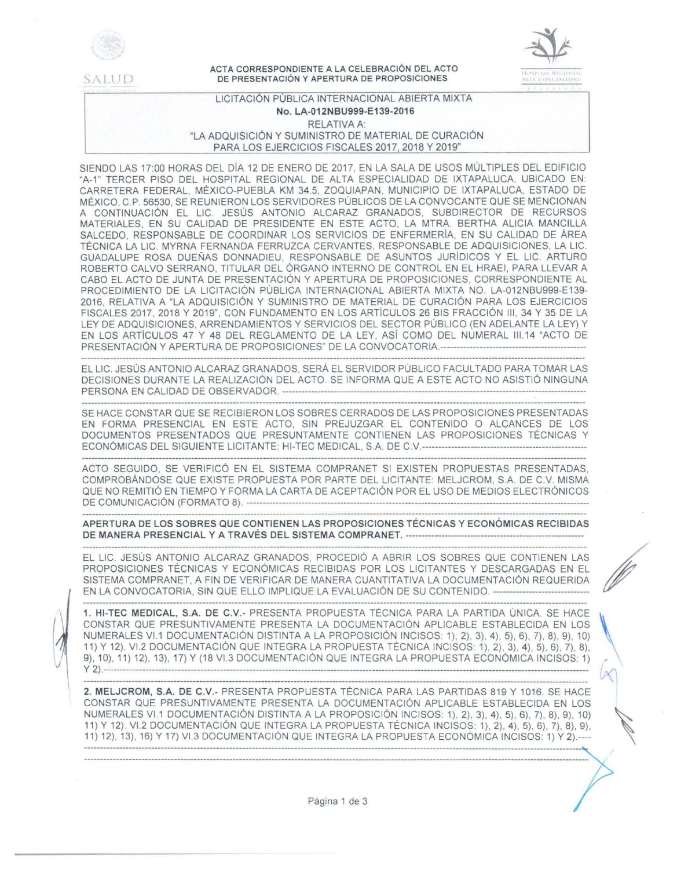

~ALUD

ACTA CORRESPONDIENTE A LA CELEBRACIÓN DEL ACTO DE PRESENTACIÓN Y APERTURA DE PROPOSICIONES



# LICITACIÓN PUBLICA INTERNACIONAL ABIERTA MIXTA No. LA-012NBU999-E139-2016 RELATIVA A: "LA ADQUISICIÓN Y SUMINISTRO DE MATERIAL DE CURACIÓN PARA LOS EJERCICIOS FISCALES 2017, 2018 Y 2019"

SIENDO LAS 17:00 HORAS DEL DIA 12 DE ENERO DE 2017, EN LA SALA DE USOS MÚLTIPLES DEL EDIFICIO "A-1" TERCER PISO DEL HOSPITAL REGIONAL DE ALTA ESPECIALIDAD DE IXTAPALUCA, UBICADO EN: CARRETERA FEDERAL, MÉXICO-PUEBLA KM 34.5, ZOQUIAPAN, MUNICIPIO DE IXTAPALUCA, ESTADO DE MÉXICO, C.P. 56530, SE REUNIERON LOS SERVIDORES PÚBLICOS DE LA CONVOCANTE QUE SE MENCIONAN A CONTINUACIÓN EL LIC. JESÚS ANTONIO ALCARAZ GRANADOS, SUBDIRECTOR DE RECURSOS MATERIALES, EN SU CALIDAD DE PRESIDENTE EN ESTE ACTO, LA MTRA. BERTHA ALICIA MANCILLA SALCEDO, RESPONSABLE DE COORDINAR LOS SERVICIOS DE ENFERMERÍA, EN SU CALIDAD DE ÁREA TÉCNICA LA LIC. MYRNA FERNANDA FERRUZCA CERVANTES, RESPONSABLE DE ADQUISICIONES, LA LIC. GUADALUPE ROSA DUEÑAS DONNADIEU, RESPONSABLE DE ASUNTOS JURIDICOS Y EL LIC. ARTURO ROBERTO CALVO SERRANO, TITULAR DEL ÓRGANO INTERNO DE CONTROL EN EL HRAEI, PARA LLEVAR A CABO EL ACTO DE JUNTA DE PRESENTACIÓN Y APERTURA DE PROPOSICIONES, CORRESPONDIENTE AL PROCEDIMIENTO DE LA LICITACIÓN PÚBLICA INTERNACIONAL ABIERTA MIXTA NO. LA-012NBU999-E139- 2016, RELATIVA A "LA ADQUISICIÓN Y SUMINISTRO DE MATERIAL DE CURACIÓN PARA LOS EJERCICIOS FISCALES 2017, 2018 Y 2019", CON FUNDAMENTO EN LOS ARTÍCULOS 26 BIS FRACCIÓN III, 34 Y 35 DE LA LEY DE ADQUISICIONES, ARRENDAMIENTOS Y SERVICIOS DEL SECTOR PÚBLICO (EN ADELANTE LA LEY) Y EN LOS ARTÍCULOS 47 Y 48 DEL REGLAMENTO DE LA LEY, ASÍ COMO DEL NUMERAL 111.14 "ACTO DE PRESENTACIÓN Y APERTURA DE PROPOSICIONES" DE LA CONVOCATORIA.--------------------------------------------

EL LIC. JESÚS ANTONIO ALCARAZ GRANADOS, SERÁ EL SERVIDOR PÚBLICO FACULTADO PARA TOMAR LAS DECISIONES DURANTE LA REALIZACIÓN DEL ACTO. SE INFORMA QUE A ESTE ACTO NO ASISTIÓ NINGUNA PERSONA EN CALIDAD DE O BS E RV ADO R ----------------------------------------------------------------------------------------------

SE HACE CONSTAR QUE SE RECIBIERON LOS SOBRES CERRADOS DE LAS PROPOSICIONES PRESENTADAS EN FORMA PRESENCIAL EN ESTE ACTO, SIN PREJUZGAR EL CONTENIDO O ALCANCES DE LOS DOCUMENTOS PRESENTADOS QUE PRESUNTAMENTE CONTIENEN LAS PROPOSICIONES TÉCNICAS Y ECONÓMICAS DEL SIGUIENTE LICITANTE: Hl-TEC MEDICAL, S.A. DE C.V.---------------------------------------------------

ACTO SEGUIDO, SE VERIFICÓ EN EL SISTEMA COMPRANET SI EXISTEN PROPUESTAS PRESENTADAS, COMPROBÁNDOSE QUE EXISTE PROPUESTA POR PARTE DEL LICITANTE: MELJCROM, S.A. DE C.V. MISMA QUE NO REMITIÓ EN TIEMPO Y FORMA LA CARTA DE ACEPTACIÓN POR EL USO DE MEDIOS ELECTRÓNICOS DE CO MU N 1CAC1 Ó N (FORMATO 8). ----------------------------------------------------------------------------------------------------------

APERTURA DE LOS SOBRES QUE CONTIENEN LAS PROPOSICIONES TÉCNICAS Y ECONÓMICAS RECIBIDAS DE MANERA PRESENCIAL Y A TRAVÉS DEL SISTEMA COMPRANET. -------------------------------------------------------

.<br>The contribution of the Mark and the contribution of the contribution of the contribution and the contribution of the contribution

EL LIC. JESÚS ANTONIO ALCARAZ GRANADOS, PROCEDIÓ A ABRIR LOS SOBRES QUE CONTIENEN LAS PROPOSICIONES TÉCNICAS Y ECONÓMICAS RECIBIDAS POR LOS LICITANTES Y DESCARGADAS EN EL SISTEMA COMPRANET, A FIN DE VERIFICAR DE MANERA CUANTITATIVA LA DOCUMENTACIÓN REQUERIDA EN LA CONVOCATORIA, SIN QUE ELLO IMPLIQUE LA EVALUACIÓN DE SU CONTENIDO. ------------------------------

1. Hl-TEC MEDICAL, S.A. DE C.V.- PRESENTA PROPUESTA TÉCNICA PARA LA PARTIDA ÚNICA. SE HACE CONSTAR QUE PRESUNTIVAMENTE PRESENTA LA DOCUMENTACIÓN APLICABLE ESTABLECIDA EN LOS NUMERALES Vl.1 DOCUMENTACIÓN DISTINTA A LA PROPOSICIÓN INCISOS: 1), 2), 3), 4), 5), 6), 7), 8), 9), 10) 11) Y 12). Vl.2 DOCUMENTACIÓN QUE INTEGRA LA PROPUESTA TÉCNICA INCISOS: 1), 2), 3), 4), 5), 6), 7), 8), 9), 10), 11) 12), 13), 17) Y (18 Vl.3 DOCUMENTACIÓN QUE INTEGRA LA PROPUESTA ECONÓMICA INCISOS: 1) y 2). ------------------------------------------------------------------------------------------------------------------------------------------------------

2. MELJCROM, S.A. DE C.V.- PRESENTA PROPUESTA TÉCNICA PARA LAS PARTIDAS 819 Y 1016. SE HACE CONSTAR QUE PRESUNTIVAMENTE PRESENTA LA DOCUMENTACIÓN APLICABLE ESTABLECIDA EN LOS NUMERALES VI.1 DOCUMENTACIÓN DISTINTA A LA PROPOSICIÓN INCISOS: 1), 2), 3), 4), 5), 6), 7), 8), 9), 10)<br>11) Y 12). VI.2 DOCUMENTACIÓN QUE INTEGRA LA PROPUESTA TÉCNICA INCISOS: 1), 2), 4), 5), 6), 7), 8), 9), 11) 12), 13), 16) Y 17) Vl.3 DOCUMENTACIÓN QUE INTEGRA LA PROPUESTA ECONÓMICA INCISOS: 1) Y 2).---- :::::::::::::::::::::::::::::::::::::::::::::::::::::::::::::::::: ::::::::::::::::::::::::::::::: ::::::::::: ::::::::::::::::::::::::::::::::::::::::::::: ~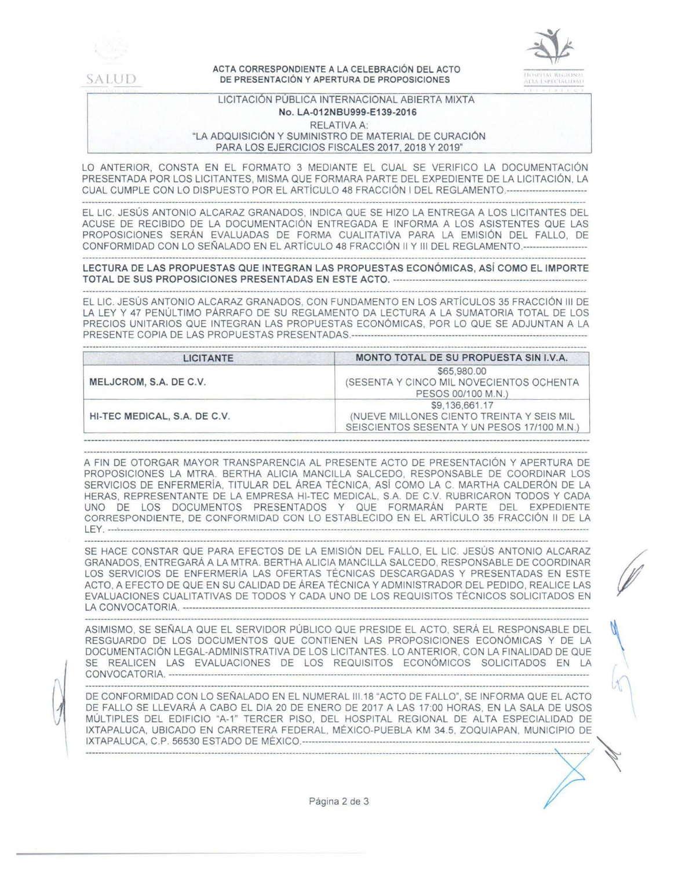

V

#### ACTA CORRESPONDIENTE A LA CELEBRACIÓN DEL ACTO DE PRESENTACIÓN Y APERTURA DE PROPOSICIONES



 $\mathcal{A}$ 

## LICITACIÓN PUBLICA INTERNACIONAL ABIERTA MIXTA No. LA-012NBU999-E139-2016 RELATIVA A: "LA ADQUISICIÓN Y SUMINISTRO DE MATERIAL DE CURACIÓN PARA LOS EJERCICIOS FISCALES 2017, 2018 Y 2019"

LO ANTERIOR, CONSTA EN EL FORMATO 3 MEDIANTE EL CUAL SE VERIFICO LA DOCUMENTACIÓN PRESENTADA POR LOS LICITANTES, MISMA QUE FORMARA PARTE DEL EXPEDIENTE DE LA LICITACIÓN, LA CUAL CUMPLE CON LO DISPUESTO POR EL ARTÍCULO 48 FRACCIÓN 1 DEL REGLAMENTO.------------------------- 

EL LIC. JESÚS ANTONIO ALCARAZ GRANADOS, INDICA QUE SE HIZO LA ENTREGA A LOS LICITANTES DEL ACUSE DE RECIBIDO DE LA DOCUMENTACIÓN ENTREGADA E INFORMA A LOS ASISTENTES QUE LAS PROPOSICIONES SERÁN EVALUADAS DE FORMA CUALITATIVA PARA LA EMISIÓN DEL FALLO, DE CONFORMIDAD CON LO SEÑALADO EN EL ARTÍCULO 48 FRACCIÓN 11Y111 DEL REGLAMENTO.--------------------

LECTURA DE LAS PROPUESTAS QUE INTEGRAN LAS PROPUESTAS ECONÓMICAS, ASÍ COMO EL IMPORTE TOTAL DE SUS PROPOSICIONES PRESENTADAS EN ESTE ACTO. ------------------------------------------------------------

EL LIC. JESÚS ANTONIO ALCARAZ GRANADOS, CON FUNDAMENTO EN LOS ARTÍCULOS 35 FRACCIÓN 111 DE LA LEY Y 47 PENÚLTIMO PÁRRAFO DE SU REGLAMENTO DA LECTURA A LA SUMATORIA TOTAL DE LOS PRECIOS UNITARIOS QUE INTEGRAN LAS PROPUESTAS ECONÓMICAS, POR LO QUE SE ADJUNTAN A LA PRESENTE COPIA DE LAS PROPUESTAS PRESENTADAS.-------------------------------------------------------------------------

| LICITANTE                    | MONTO TOTAL DE SU PROPUESTA SIN I.V.A.                                                                     |  |
|------------------------------|------------------------------------------------------------------------------------------------------------|--|
| MELJCROM, S.A. DE C.V.       | \$65,980.00<br>(SESENTA Y CINCO MIL NOVECIENTOS OCHENTA<br>PESOS 00/100 M.N.)                              |  |
| HI-TEC MEDICAL, S.A. DE C.V. | \$9,136,661.17<br>(NUEVE MILLONES CIENTO TREINTA Y SEIS MIL<br>SEISCIENTOS SESENTA Y UN PESOS 17/100 M.N.) |  |

A FIN DE OTORGAR MAYOR TRANSPARENCIA AL PRESENTE ACTO DE PRESENTACIÓN Y APERTURA DE PROPOSICIONES LA MTRA. BERTHA ALICIA MANCILLA SALCEDO, RESPONSABLE DE COORDINAR LOS SERVICIOS DE ENFERMERIA, TITULAR DEL ÁREA TÉCNICA, ASI COMO LA C MARTHA CALDERÓN DE LA HERAS, REPRESENTANTE DE LA EMPRESA Hl-TEC MEDICAL, S.A. DE C.V. RUBRICARON TODOS Y CADA UNO DE LOS DOCUMENTOS PRESENTADOS Y QUE FORMARÁN PARTE DEL EXPEDIENTE CORRESPONDIENTE, DE CONFORMIDAD CON LO ESTABLECIDO EN EL ARTÍCULO 35 FRACCIÓN 11 DE LA LEY. ---•-------------------------------------------------------------------------------------------------------------------------------------------------

SE HACE CONSTAR QUE PARA EFECTOS DE LA EMISIÓN DEL FALLO, EL LIC. JESÚS ANTONIO ALCARAZ GRANADOS, ENTREGARÁ A LA MTRA. BERTHA ALICIA MANCILLA SALCEDO, RESPONSABLE DE COORDINAR LOS SERVICIOS DE ENFERMERÍA LAS OFERTAS TÉCNICAS DESCARGADAS Y PRESENTADAS EN ESTE ACTO, A EFECTO DE QUE EN SU CALIDAD DE ÁREA TÉCNICA Y ADMINISTRADOR DEL PEDIDO, REALICE LAS EVALUACIONES CUALITATIVAS DE TODOS Y CADA UNO DE LOS REQUISITOS TÉCNICOS SOLICITADOS EN LA CONVOCATORIA. ------------------------------------------------------------------------------------------------------------------------------

ASIMISMO, SE SEÑALA QUE EL SERVIDOR PÚBLICO QUE PRESIDE EL ACTO, SERÁ EL RESPONSABLE DEL RESGUARDO DE LOS DOCUMENTOS QUE CONTIENEN LAS PROPOSICIONES ECONÓMICAS Y DE LA DOCUMENTACIÓN LEGAL-ADMINISTRATIVA DE LOS LICITANTES. LO ANTERIOR, CON LA FINALIDAD DE QUE SE REALICEN LAS EVALUACIONES DE LOS REQUISITOS ECONÓMICOS SOLICITADOS EN LA CONVOCATORIA. ----------------------------------------------------------------------------------------------------------------------------------

DE-CO~-F O~~-ID~-D-C-ON LO-SE~Al,.=;DO -EN-EL-~-Ú-MERA-~-¡l l~ -~-~AC~O--;-E-FALL-0:~-S-E-jNFO-R-MA-QUE-EL-;:CTO v(\ DE FALLO SE LLEVARÁ A CABO EL DIA 20 DE ENERO DE 2017 A LAS 17:00 HORAS, EN LA SALA DE USOS MÚLTIPLES DEL EDIFICIO "A-1" TERCER PISO, DEL HOSPITAL REGIONAL DE ALTA ESPECIALIDAD DE IXTAPALUCA, UBICADO EN CARRETERA FEDERAL, MÉXICO-PUEBLA KM 34.5, ZOQUIAPAN, MUNICIPIO DE IXT APALUCA, C.P. 56530 ESTADO DE MÉXICO.----------------------------------------------------------------------------------------- ~.

------------------------------------------------------------------------------------------------------------------------------------------------x - \